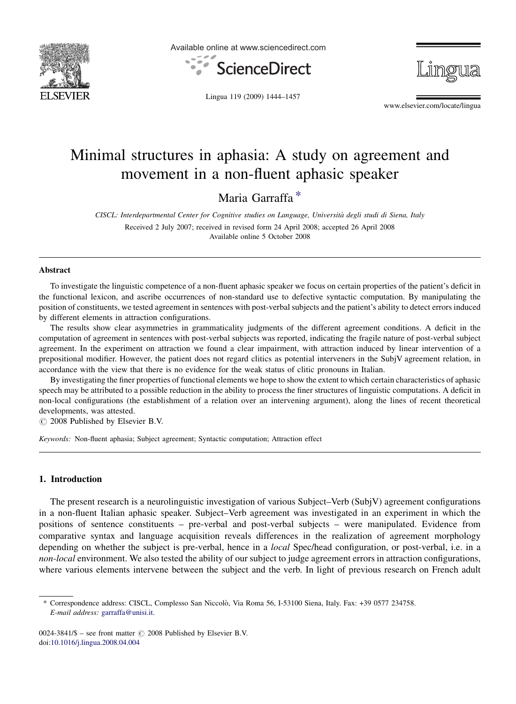

Available online at www.sciencedirect.com



Lingua 119 (2009) 1444–1457

www.elsevier.com/locate/lingua

## Minimal structures in aphasia: A study on agreement and movement in a non-fluent aphasic speaker

Maria Garraffa \*

CISCL: Interdepartmental Center for Cognitive studies on Language, Universita` degli studi di Siena, Italy Received 2 July 2007; received in revised form 24 April 2008; accepted 26 April 2008 Available online 5 October 2008

#### Abstract

To investigate the linguistic competence of a non-fluent aphasic speaker we focus on certain properties of the patient's deficit in the functional lexicon, and ascribe occurrences of non-standard use to defective syntactic computation. By manipulating the position of constituents, we tested agreement in sentences with post-verbal subjects and the patient's ability to detect errors induced by different elements in attraction configurations.

The results show clear asymmetries in grammaticality judgments of the different agreement conditions. A deficit in the computation of agreement in sentences with post-verbal subjects was reported, indicating the fragile nature of post-verbal subject agreement. In the experiment on attraction we found a clear impairment, with attraction induced by linear intervention of a prepositional modifier. However, the patient does not regard clitics as potential interveners in the SubjV agreement relation, in accordance with the view that there is no evidence for the weak status of clitic pronouns in Italian.

By investigating the finer properties of functional elements we hope to show the extent to which certain characteristics of aphasic speech may be attributed to a possible reduction in the ability to process the finer structures of linguistic computations. A deficit in non-local configurations (the establishment of a relation over an intervening argument), along the lines of recent theoretical developments, was attested.

 $\circ$  2008 Published by Elsevier B.V.

Keywords: Non-fluent aphasia; Subject agreement; Syntactic computation; Attraction effect

### 1. Introduction

The present research is a neurolinguistic investigation of various Subject–Verb (SubjV) agreement configurations in a non-fluent Italian aphasic speaker. Subject–Verb agreement was investigated in an experiment in which the positions of sentence constituents – pre-verbal and post-verbal subjects – were manipulated. Evidence from comparative syntax and language acquisition reveals differences in the realization of agreement morphology depending on whether the subject is pre-verbal, hence in a local Spec/head configuration, or post-verbal, i.e. in a non-local environment. We also tested the ability of our subject to judge agreement errors in attraction configurations, where various elements intervene between the subject and the verb. In light of previous research on French adult

<sup>\*</sup> Correspondence address: CISCL, Complesso San Niccolo`, Via Roma 56, I-53100 Siena, Italy. Fax: +39 0577 234758. E-mail address: [garraffa@unisi.it](mailto:garraffa@unisi.it).

<sup>0024-3841/\$ –</sup> see front matter  $\odot$  2008 Published by Elsevier B.V. doi:[10.1016/j.lingua.2008.04.004](http://dx.doi.org/10.1016/j.lingua.2008.04.004)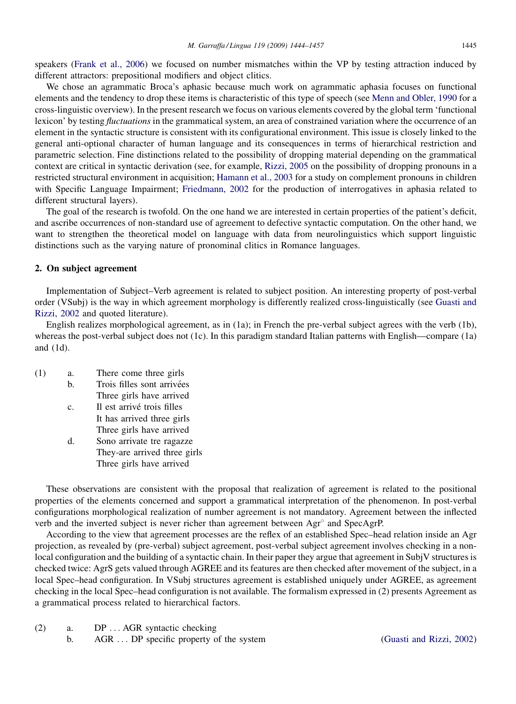speakers [\(Frank et al., 2006\)](#page--1-0) we focused on number mismatches within the VP by testing attraction induced by different attractors: prepositional modifiers and object clitics.

We chose an agrammatic Broca's aphasic because much work on agrammatic aphasia focuses on functional elements and the tendency to drop these items is characteristic of this type of speech (see [Menn and Obler, 1990](#page--1-0) for a cross-linguistic overview). In the present research we focus on various elements covered by the global term 'functional lexicon' by testing *fluctuations* in the grammatical system, an area of constrained variation where the occurrence of an element in the syntactic structure is consistent with its configurational environment. This issue is closely linked to the general anti-optional character of human language and its consequences in terms of hierarchical restriction and parametric selection. Fine distinctions related to the possibility of dropping material depending on the grammatical context are critical in syntactic derivation (see, for example, [Rizzi, 2005](#page--1-0) on the possibility of dropping pronouns in a restricted structural environment in acquisition; [Hamann et al., 2003](#page--1-0) for a study on complement pronouns in children with Specific Language Impairment; [Friedmann, 2002](#page--1-0) for the production of interrogatives in aphasia related to different structural layers).

The goal of the research is twofold. On the one hand we are interested in certain properties of the patient's deficit, and ascribe occurrences of non-standard use of agreement to defective syntactic computation. On the other hand, we want to strengthen the theoretical model on language with data from neurolinguistics which support linguistic distinctions such as the varying nature of pronominal clitics in Romance languages.

### 2. On subject agreement

Implementation of Subject–Verb agreement is related to subject position. An interesting property of post-verbal order (VSubj) is the way in which agreement morphology is differently realized cross-linguistically (see [Guasti and](#page--1-0) [Rizzi, 2002](#page--1-0) and quoted literature).

English realizes morphological agreement, as in (1a); in French the pre-verbal subject agrees with the verb (1b), whereas the post-verbal subject does not (1c). In this paradigm standard Italian patterns with English—compare (1a) and (1d).

- (1) a. There come three girls b. Trois filles sont arrivées Three girls have arrived c. Il est arrivé trois filles It has arrived three girls Three girls have arrived d. Sono arrivate tre ragazze
	- They-are arrived three girls Three girls have arrived

These observations are consistent with the proposal that realization of agreement is related to the positional properties of the elements concerned and support a grammatical interpretation of the phenomenon. In post-verbal configurations morphological realization of number agreement is not mandatory. Agreement between the inflected verb and the inverted subject is never richer than agreement between Agr° and SpecAgrP.

According to the view that agreement processes are the reflex of an established Spec–head relation inside an Agr projection, as revealed by (pre-verbal) subject agreement, post-verbal subject agreement involves checking in a nonlocal configuration and the building of a syntactic chain. In their paper they argue that agreement in SubjV structures is checked twice: AgrS gets valued through AGREE and its features are then checked after movement of the subject, in a local Spec–head configuration. In VSubj structures agreement is established uniquely under AGREE, as agreement checking in the local Spec–head configuration is not available. The formalism expressed in (2) presents Agreement as a grammatical process related to hierarchical factors.

- (2) a. DP ... AGR syntactic checking
	- b. AGR ... DP specific property of the system ([Guasti and Rizzi, 2002\)](#page--1-0)